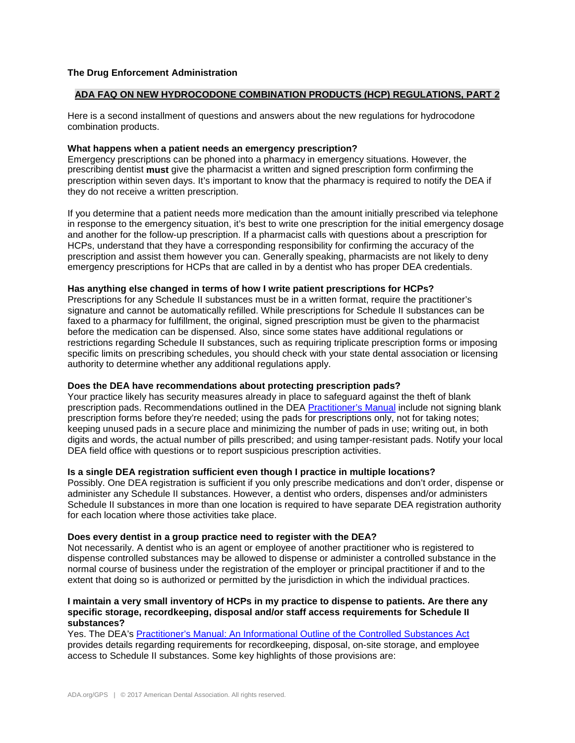# **The Drug Enforcement Administration**

# **ADA FAQ ON NEW HYDROCODONE COMBINATION PRODUCTS (HCP) REGULATIONS, PART 2**

Here is a second installment of questions and answers about the new regulations for hydrocodone combination products.

#### **What happens when a patient needs an emergency prescription?**

Emergency prescriptions can be phoned into a pharmacy in emergency situations. However, the prescribing dentist **must** give the pharmacist a written and signed prescription form confirming the prescription within seven days. It's important to know that the pharmacy is required to notify the DEA if they do not receive a written prescription.

If you determine that a patient needs more medication than the amount initially prescribed via telephone in response to the emergency situation, it's best to write one prescription for the initial emergency dosage and another for the follow-up prescription. If a pharmacist calls with questions about a prescription for HCPs, understand that they have a corresponding responsibility for confirming the accuracy of the prescription and assist them however you can. Generally speaking, pharmacists are not likely to deny emergency prescriptions for HCPs that are called in by a dentist who has proper DEA credentials.

### **Has anything else changed in terms of how I write patient prescriptions for HCPs?**

Prescriptions for any Schedule II substances must be in a written format, require the practitioner's signature and cannot be automatically refilled. While prescriptions for Schedule II substances can be faxed to a pharmacy for fulfillment, the original, signed prescription must be given to the pharmacist before the medication can be dispensed. Also, since some states have additional regulations or restrictions regarding Schedule II substances, such as requiring triplicate prescription forms or imposing specific limits on prescribing schedules, you should check with your state dental association or licensing authority to determine whether any additional regulations apply.

# **Does the DEA have recommendations about protecting prescription pads?**

Your practice likely has security measures already in place to safeguard against the theft of blank prescription pads. Recommendations outlined in the DEA [Practitioner's Manual](http://www.deadiversion.usdoj.gov/pubs/manuals/pract/pract_manual012508.pdf) include not signing blank prescription forms before they're needed; using the pads for prescriptions only, not for taking notes; keeping unused pads in a secure place and minimizing the number of pads in use; writing out, in both digits and words, the actual number of pills prescribed; and using tamper-resistant pads. Notify your local DEA field office with questions or to report suspicious prescription activities.

### **Is a single DEA registration sufficient even though I practice in multiple locations?**

Possibly. One DEA registration is sufficient if you only prescribe medications and don't order, dispense or administer any Schedule II substances. However, a dentist who orders, dispenses and/or administers Schedule II substances in more than one location is required to have separate DEA registration authority for each location where those activities take place.

#### **Does every dentist in a group practice need to register with the DEA?**

Not necessarily. A dentist who is an agent or employee of another practitioner who is registered to dispense controlled substances may be allowed to dispense or administer a controlled substance in the normal course of business under the registration of the employer or principal practitioner if and to the extent that doing so is authorized or permitted by the jurisdiction in which the individual practices.

## **I maintain a very small inventory of HCPs in my practice to dispense to patients. Are there any specific storage, recordkeeping, disposal and/or staff access requirements for Schedule II substances?**

Yes. The DEA's [Practitioner's Manual: An Informational Outline of the Controlled Substances Act](http://www.deadiversion.usdoj.gov/pubs/manuals/pract/)  provides details regarding requirements for recordkeeping, disposal, on-site storage, and employee access to Schedule II substances. Some key highlights of those provisions are: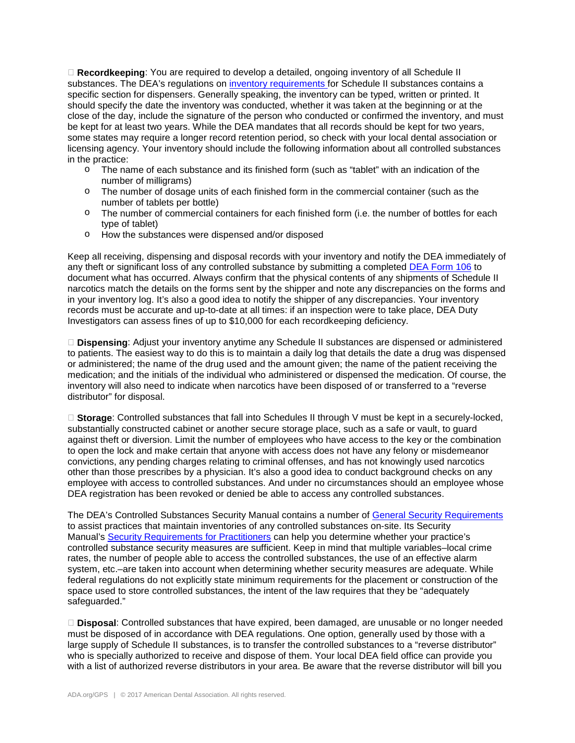**Recordkeeping**: You are required to develop a detailed, ongoing inventory of all Schedule II substances. The DEA's regulations on [inventory requirements f](http://www.deadiversion.usdoj.gov/21cfr/cfr/1304/1304_11.htm)or Schedule II substances contains a specific section for dispensers. Generally speaking, the inventory can be typed, written or printed. It should specify the date the inventory was conducted, whether it was taken at the beginning or at the close of the day, include the signature of the person who conducted or confirmed the inventory, and must be kept for at least two years. While the DEA mandates that all records should be kept for two years, some states may require a longer record retention period, so check with your local dental association or licensing agency. Your inventory should include the following information about all controlled substances in the practice:

- o The name of each substance and its finished form (such as "tablet" with an indication of the number of milligrams)
- o The number of dosage units of each finished form in the commercial container (such as the number of tablets per bottle)
- $\circ$  The number of commercial containers for each finished form (i.e. the number of bottles for each type of tablet)
- o How the substances were dispensed and/or disposed

Keep all receiving, dispensing and disposal records with your inventory and notify the DEA immediately of any theft or significant loss of any controlled substance by submitting a completed [DEA Form 106](http://www.deadiversion.usdoj.gov/21cfr_reports/theft/) to document what has occurred. Always confirm that the physical contents of any shipments of Schedule II narcotics match the details on the forms sent by the shipper and note any discrepancies on the forms and in your inventory log. It's also a good idea to notify the shipper of any discrepancies. Your inventory records must be accurate and up-to-date at all times: if an inspection were to take place, DEA Duty Investigators can assess fines of up to \$10,000 for each recordkeeping deficiency.

 **Dispensing**: Adjust your inventory anytime any Schedule II substances are dispensed or administered to patients. The easiest way to do this is to maintain a daily log that details the date a drug was dispensed or administered; the name of the drug used and the amount given; the name of the patient receiving the medication; and the initials of the individual who administered or dispensed the medication. Of course, the inventory will also need to indicate when narcotics have been disposed of or transferred to a "reverse distributor" for disposal.

□ **Storage**: Controlled substances that fall into Schedules II through V must be kept in a securely-locked, substantially constructed cabinet or another secure storage place, such as a safe or vault, to guard against theft or diversion. Limit the number of employees who have access to the key or the combination to open the lock and make certain that anyone with access does not have any felony or misdemeanor convictions, any pending charges relating to criminal offenses, and has not knowingly used narcotics other than those prescribes by a physician. It's also a good idea to conduct background checks on any employee with access to controlled substances. And under no circumstances should an employee whose DEA registration has been revoked or denied be able to access any controlled substances.

The DEA's Controlled Substances Security Manual contains a number of [General Security Requirements](http://www.deadiversion.usdoj.gov/pubs/manuals/sec/general_sec.htm) to assist practices that maintain inventories of any controlled substances on-site. Its Security Manual's [Security Requirements for Practitioners](http://www.deadiversion.usdoj.gov/pubs/manuals/sec/sec_req.htm) can help you determine whether your practice's controlled substance security measures are sufficient. Keep in mind that multiple variables–local crime rates, the number of people able to access the controlled substances, the use of an effective alarm system, etc.–are taken into account when determining whether security measures are adequate. While federal regulations do not explicitly state minimum requirements for the placement or construction of the space used to store controlled substances, the intent of the law requires that they be "adequately safeguarded."

 **Disposal**: Controlled substances that have expired, been damaged, are unusable or no longer needed must be disposed of in accordance with DEA regulations. One option, generally used by those with a large supply of Schedule II substances, is to transfer the controlled substances to a "reverse distributor" who is specially authorized to receive and dispose of them. Your local DEA field office can provide you with a list of authorized reverse distributors in your area. Be aware that the reverse distributor will bill you